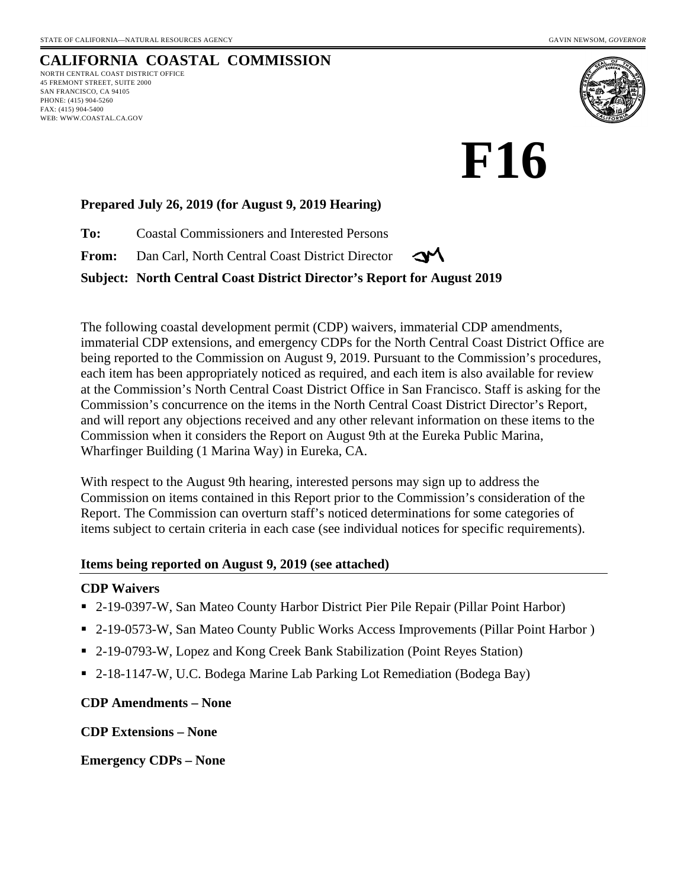# **CALIFORNIA COASTAL COMMISSION** NORTH CENTRAL COAST DISTRICT OFFICE

45 FREMONT STREET, SUITE 2000 SAN FRANCISCO, CA 94105 PHONE: (415) 904-5260 FAX: (415) 904-5400 WEB: WWW.COASTAL.CA.GOV



**F16**

## **Prepared July 26, 2019 (for August 9, 2019 Hearing)**

**To:** Coastal Commissioners and Interested Persons

**From:** Dan Carl, North Central Coast District Director

**Subject: North Central Coast District Director's Report for August 2019**

The following coastal development permit (CDP) waivers, immaterial CDP amendments, immaterial CDP extensions, and emergency CDPs for the North Central Coast District Office are being reported to the Commission on August 9, 2019. Pursuant to the Commission's procedures, each item has been appropriately noticed as required, and each item is also available for review at the Commission's North Central Coast District Office in San Francisco. Staff is asking for the Commission's concurrence on the items in the North Central Coast District Director's Report, and will report any objections received and any other relevant information on these items to the Commission when it considers the Report on August 9th at the Eureka Public Marina, Wharfinger Building (1 Marina Way) in Eureka, CA.

With respect to the August 9th hearing, interested persons may sign up to address the Commission on items contained in this Report prior to the Commission's consideration of the Report. The Commission can overturn staff's noticed determinations for some categories of items subject to certain criteria in each case (see individual notices for specific requirements).

## **Items being reported on August 9, 2019 (see attached)**

## **CDP Waivers**

- 2-19-0397-W, San Mateo County Harbor District Pier Pile Repair (Pillar Point Harbor)
- 2-19-0573-W, San Mateo County Public Works Access Improvements (Pillar Point Harbor )
- 2-19-0793-W, Lopez and Kong Creek Bank Stabilization (Point Reyes Station)
- 2-18-1147-W, U.C. Bodega Marine Lab Parking Lot Remediation (Bodega Bay)

## **CDP Amendments – None**

**CDP Extensions – None**

**Emergency CDPs – None**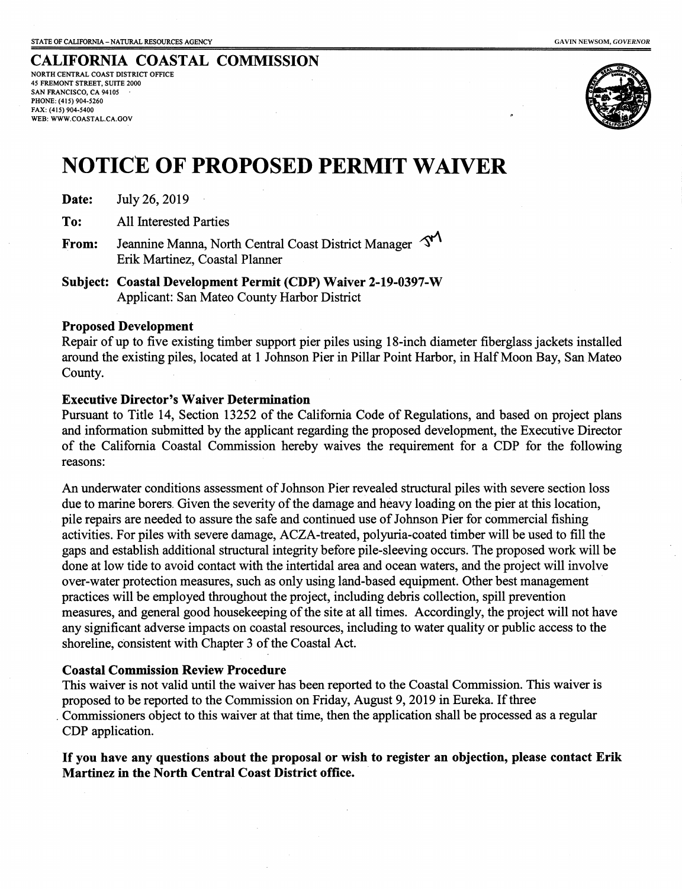#### CALTFORNIA COASTAL COMMISSION NORTH CENTRAL COAST DISTRICT OFFICE 45 FREMONT STREET, SUITE 2OOO SAN FRANCISCO, CA 94105 PHONE; (415) 904-5260 FAX: (415) 904-5400 WEB: WWW.COASTAL.CA.GOV



# NOTICE OF PROPOSED PERMIT WATVER

Date: July26,2019

To: All Interested Parties

From: Jeannine Manna, North Central Coast District Manager  $\mathcal{F}^{\mathcal{N}}$ Erik Martinez, Coastal Planner

Subject: Coastal Development Permit (CDP) Waiver 2-19-0397-W Applicant: San Mateo County Harbor District

#### Proposed Development

Repair of up to five existing timber support pier piles using l8-inch diameter fiberglass jackets installed around the existing piles, located at I Johnson Pier in Pillar Point Harbor, in Half Moon Bay, San Mateo County.

#### **Executive Director's Waiver Determination**

Pursuant to Title 14, Section 13252 of the California Code of Regulations, and based on project plans and information submitted by the applicant regarding the proposed development, the Executive Director of the California Coastal Commission hereby waives the requirement for a CDP for the following reasons:

An underwater conditions assessment of Johnson Pier revealed structural piles with severe section loss due to marine borers. Given the severity of the damage and heavy loading on the pier at this location, pile repairs are needed to assure the safe and continued use of Johnson Pier for commercial fishing activities. For piles with severe damage, ACZA-treated, polyuria-coated timber will be used to fill the gaps and establish additional structural integrity before pile-sleeving occurs. The proposed work will be done at low tide to avoid contact with the intertidal area and ocean waters, and the project will involve over-water protection measures, such as only using land-based equipment. Other best management practices will be employed throughout the project, including debris collection, spill prevention measures, and general good housekeeping of the site at all times. Accordingly, the project will not have any significant adverse impacts on coastal resources, including to water quality or public access to the shoreline, consistent with Chapter 3 of the Coastal Act.

### Coastal Commission Review Procedure

This waiver is not valid until the waiver has been reported to the Coastal Commission. This waiver is proposed to be reported to the Commission on Friday, August 9,2019 in Eureka. If three Commissioners object to this waiver at that time, then the application shall be processed as a regular CDP application.

If you have any questions about the proposal or wish to register an objection, please contact Erik Martinez in the North Central Coast District office.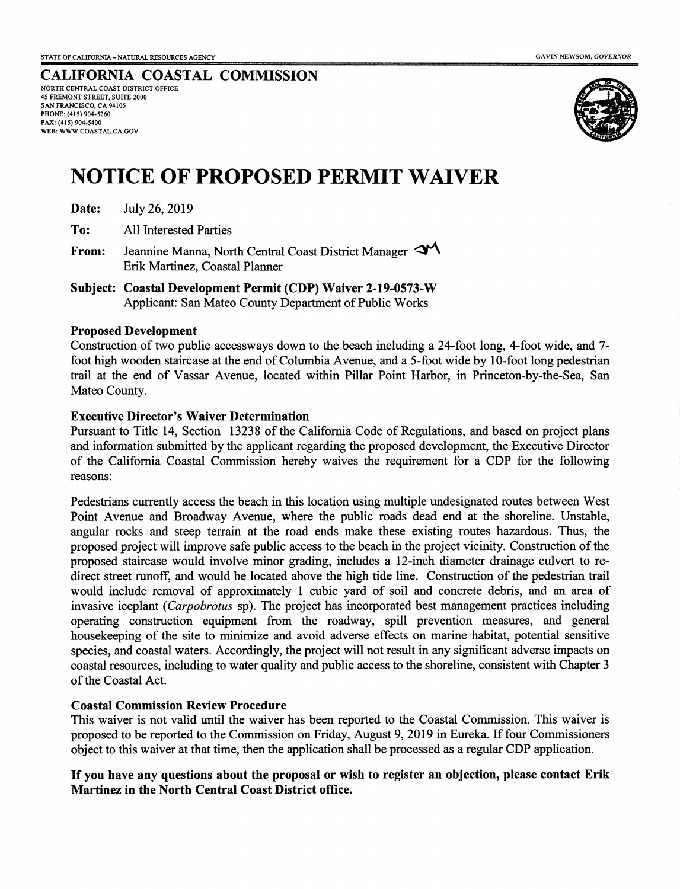#### CALIFORNIA COASTAL COMMISSION NORTH CENTRAL COAST DISTRICT OFFICE 45 FREMONT STREET, SUITE 2000 SAN FRANCISCO, CA 94105 PHONE: (415) 904-5260 FAx: (415) 904-s400 WEB: WWW.COASTAL.CA.GOV



# NOTICE OF PROPOSED PERMIT WAIVER

Date: Jaly26,2019

To: All Interested Parties

From: Jeannine Manna, North Central Coast District Manager **IV** Erik Martinez, Coastal Planner

Subject: Coastal Development Permit (CDP) Waiver 2-19-0573-W Applicant: San Mateo County Departnent of Public Works

#### Proposed Development

Construction of two public accessways down to the beach including a 24-foot long, 4-foot wide, and 7foot high wooden staircase at the end of Columbia Avenue, and a 5-foot wide by 10-foot long pedestrian tail at the end of Vassar Avenue, located within Pillar Point Harbor, in Princeton-by-the-Sea, San Mateo County.

#### Executive Director's Waiver Determination

Pursuant to Title 14, Section 13238 of the California Code of Regulations, and based on project plans and information submitted by the applicant regarding the proposed development, the Executive Director of the California Coastal Commission hereby waives the requirement for a CDP for the following reasons:

Pedestians currently access the beach in this location using multiple undesignated routes between West Point Avenue and Broadway Avenue, where the public roads dead end at the shoreline. Unstable, angular rocks and steep terrain at the road ends make these existing routes hazardous. Thus, the proposed project will improve safe public access to the beach in the project vicinity. Construction of the proposed staircase would involve minor grading, includes a l2-inch diameter drainage culvert to redirect street runoff, and would be located above the high tide line. Construction of the pedestrian trail would include removal of approximately I cubic yard of soil and concrete debris, and an area of invasive iceplant (Carpobrotus sp). The project has incorporated best management practices including operating construction equipment from the roadway, spill prevention measures, and general housekeeping of the site to minimize and avoid adverse effects on marine habitat, potential sensitive species, and coastal waters. Accordingly, the project will not result in any significant adverse impacts on coastal resources, including to water quality and public access to the shoreline, consistent with Chapter 3 of the Coastal Act.

#### Coastal Commission Review Procedure

This waiver is not valid until the waiver has been reported to the Coastal Commission. This waiver is proposed to be reported to the Commission on Friday, August 9,2019 in Eureka. If four Commissioners object to this waiver at that time, then the application shall be processed as a regular CDP application.

### If you have any questions about the proposal or wish to register an objection, please contact Erik Martinez in the North Central Coast District office.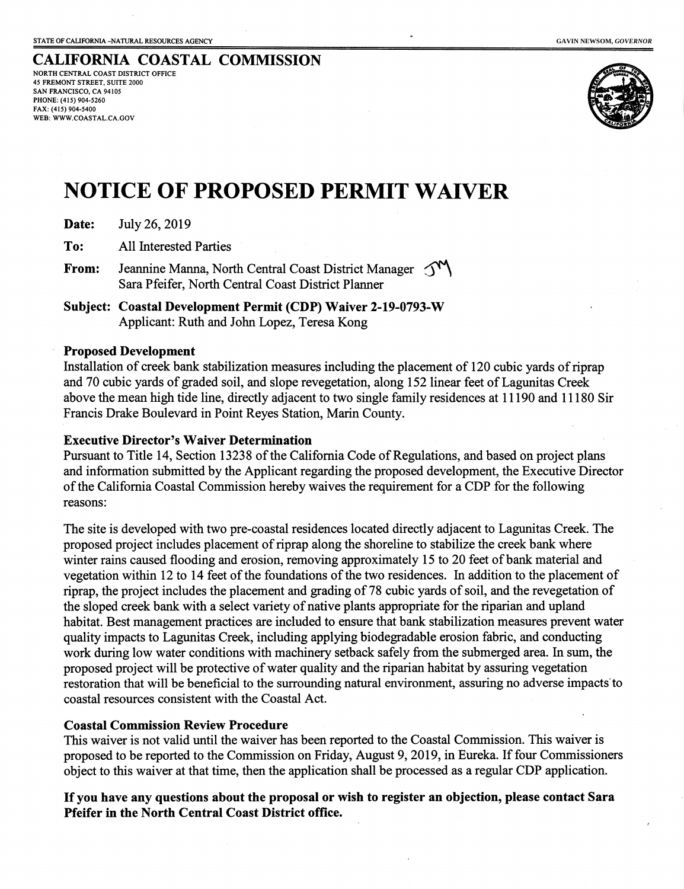CALIFORNIA COASTAL COMMISSION NORTH CENTRAL COAST DISTRICT OFFICE 45 FREMONT STREET, SUITE 2OOO SAN FRANCISCO, CA 94105 PHONE: (415) 904-5260 FAX: (415) 904-5400 WEB: WWW.COASTAL.CA.GOV



# NOTICE OF PROPOSED PERMIT WAIVER

To: All Interested Parties

From: Jeannine Manna, North Central Coast District Manager  $\bigcap_{ }^{\mathsf{M}}$ Sara Pfeifer, North Central Coast District Planner

Subject: Coastal Development Permit (CDP) Waiver 2-19-0793-W Applicant: Ruth and John Lopez, Teresa Kong

### Proposed Development

Installation of creek bank stabilization measures including the placement of 120 cubic yards of riprap and 70 cubic yards of graded soil, and slope revegetation, along 152 linear feet of Lagunitas Creek above the mean high tide line, directly adjacent to two single family residences at 11190 and 11180 Sir Francis Drake Boulevard in Point Reyes Station, Marin County.

### **Executive Director's Waiver Determination**

Pursuant to Title 14, Section 13238 of the California Code of Regulations, and based on project plans and information submitted by the Applicant regarding the proposed development, the Executive Director of the California Coastal Commission hereby waives the requirement for a CDP for the following reasons:

The site is developed with two pre-coastal residences located directly adjacent to Lagunitas Creek. The proposed project includes placement of riprap along the shoreline to stabilize the creek bank where winter rains caused flooding and erosion, removing approximately 15 to 20 feet of bank material and vegetation within 12 to 14 feet of the foundations of the two residences. In addition to the placement of riprap, the project includes the placement and grading of 78 cubic yards of soil, and the revegetation of the sloped creek bank with a select variety of native plants appropriate for the riparian and upland habitat. Best management practices are included to ensure that bank stabilization measures prevent water quality impacts to Lagunitas Creek, including applyng biodegradable erosion fabric, and conducting work during low water conditions with machinery setback safely from the submerged area. In sum, the proposed project will be protective of water quality and the riparian habitat by assuring vegetation restoration that will be beneficial to the surrounding natural environment, assuring no adverse impacts'to coastal resources consistent with the Coastal Act.

#### Coastal Commission Review Procedure

This waiver is not valid until the waiver has been reported to the Coastal Commission. This waiver is proposed to be reported to the Commission on Friday, August 9,2019, in Eureka. If four Commissioners object to this waiver at that time, then the application shall be processed as a regular CDP application.

If you have any questions about the proposal or wish to register an objection, please contact Sara Pfeifer in the North Central Coast District office.